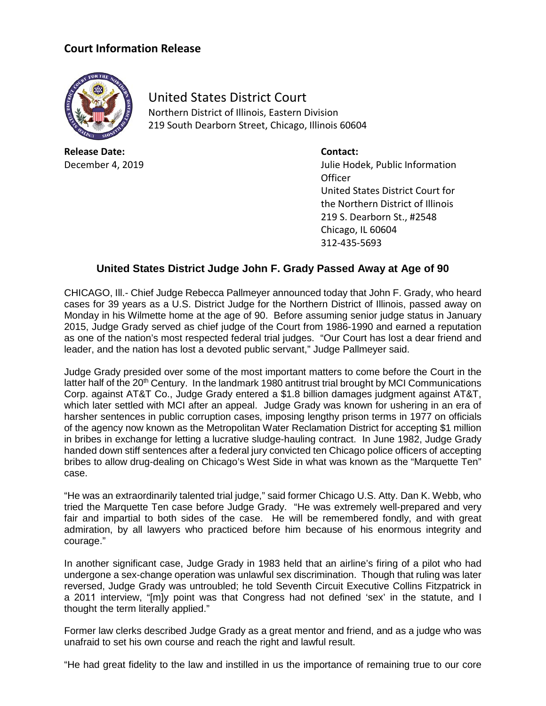## **Court Information Release**



United States District Court Northern District of Illinois, Eastern Division 219 South Dearborn Street, Chicago, Illinois 60604

**Release Date: Contact:**

December 4, 2019 Julie Hodek, Public Information **Officer** United States District Court for the Northern District of Illinois 219 S. Dearborn St., #2548 Chicago, IL 60604 312-435-5693

## **United States District Judge John F. Grady Passed Away at Age of 90**

CHICAGO, Ill.- Chief Judge Rebecca Pallmeyer announced today that John F. Grady, who heard cases for 39 years as a U.S. District Judge for the Northern District of Illinois, passed away on Monday in his Wilmette home at the age of 90. Before assuming senior judge status in January 2015, Judge Grady served as chief judge of the Court from 1986-1990 and earned a reputation as one of the nation's most respected federal trial judges. "Our Court has lost a dear friend and leader, and the nation has lost a devoted public servant," Judge Pallmeyer said.

Judge Grady presided over some of the most important matters to come before the Court in the latter half of the 20<sup>th</sup> Century. In the landmark 1980 antitrust trial brought by MCI Communications Corp. against AT&T Co., Judge Grady entered a \$1.8 billion damages judgment against AT&T, which later settled with MCI after an appeal. Judge Grady was known for ushering in an era of harsher sentences in public corruption cases, imposing lengthy prison terms in 1977 on officials of the agency now known as the Metropolitan Water Reclamation District for accepting \$1 million in bribes in exchange for letting a lucrative sludge-hauling contract. In June 1982, Judge Grady handed down stiff sentences after a federal jury convicted ten Chicago police officers of accepting bribes to allow drug-dealing on Chicago's West Side in what was known as the "Marquette Ten" case.

"He was an extraordinarily talented trial judge," said former Chicago U.S. Atty. Dan K. Webb, who tried the Marquette Ten case before Judge Grady. "He was extremely well-prepared and very fair and impartial to both sides of the case. He will be remembered fondly, and with great admiration, by all lawyers who practiced before him because of his enormous integrity and courage."

In another significant case, Judge Grady in 1983 held that an airline's firing of a pilot who had undergone a sex-change operation was unlawful sex discrimination. Though that ruling was later reversed, Judge Grady was untroubled; he told Seventh Circuit Executive Collins Fitzpatrick in a 2011 interview, "[m]y point was that Congress had not defined 'sex' in the statute, and I thought the term literally applied."

Former law clerks described Judge Grady as a great mentor and friend, and as a judge who was unafraid to set his own course and reach the right and lawful result.

"He had great fidelity to the law and instilled in us the importance of remaining true to our core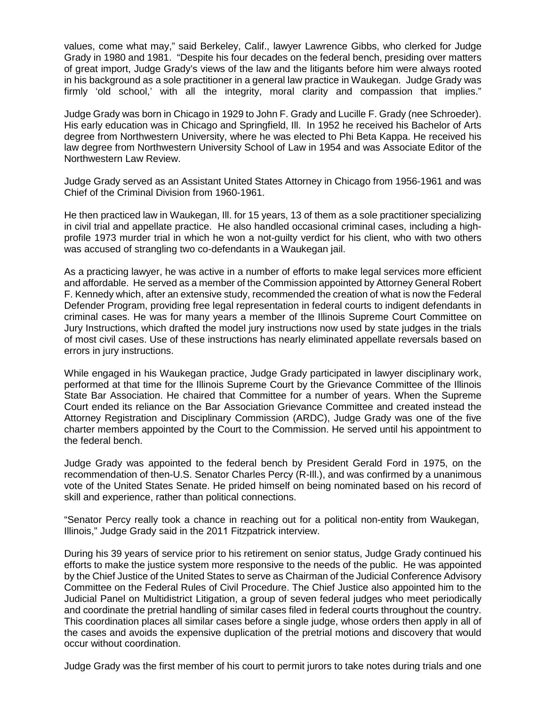values, come what may," said Berkeley, Calif., lawyer Lawrence Gibbs, who clerked for Judge Grady in 1980 and 1981. "Despite his four decades on the federal bench, presiding over matters of great import, Judge Grady's views of the law and the litigants before him were always rooted in his background as a sole practitioner in a general law practice in Waukegan. Judge Grady was firmly 'old school,' with all the integrity, moral clarity and compassion that implies."

Judge Grady was born in Chicago in 1929 to John F. Grady and Lucille F. Grady (nee Schroeder). His early education was in Chicago and Springfield, Ill. In 1952 he received his Bachelor of Arts degree from Northwestern University, where he was elected to Phi Beta Kappa. He received his law degree from Northwestern University School of Law in 1954 and was Associate Editor of the Northwestern Law Review.

Judge Grady served as an Assistant United States Attorney in Chicago from 1956-1961 and was Chief of the Criminal Division from 1960-1961.

He then practiced law in Waukegan, Ill. for 15 years, 13 of them as a sole practitioner specializing in civil trial and appellate practice. He also handled occasional criminal cases, including a highprofile 1973 murder trial in which he won a not-guilty verdict for his client, who with two others was accused of strangling two co-defendants in a Waukegan jail.

As a practicing lawyer, he was active in a number of efforts to make legal services more efficient and affordable. He served as a member of the Commission appointed by Attorney General Robert F. Kennedy which, after an extensive study, recommended the creation of what is now the Federal Defender Program, providing free legal representation in federal courts to indigent defendants in criminal cases. He was for many years a member of the Illinois Supreme Court Committee on Jury Instructions, which drafted the model jury instructions now used by state judges in the trials of most civil cases. Use of these instructions has nearly eliminated appellate reversals based on errors in jury instructions.

While engaged in his Waukegan practice, Judge Grady participated in lawyer disciplinary work, performed at that time for the Illinois Supreme Court by the Grievance Committee of the Illinois State Bar Association. He chaired that Committee for a number of years. When the Supreme Court ended its reliance on the Bar Association Grievance Committee and created instead the Attorney Registration and Disciplinary Commission (ARDC), Judge Grady was one of the five charter members appointed by the Court to the Commission. He served until his appointment to the federal bench.

Judge Grady was appointed to the federal bench by President Gerald Ford in 1975, on the recommendation of then-U.S. Senator Charles Percy (R-Ill.), and was confirmed by a unanimous vote of the United States Senate. He prided himself on being nominated based on his record of skill and experience, rather than political connections.

"Senator Percy really took a chance in reaching out for a political non-entity from Waukegan, Illinois," Judge Grady said in the 2011 Fitzpatrick interview.

During his 39 years of service prior to his retirement on senior status, Judge Grady continued his efforts to make the justice system more responsive to the needs of the public. He was appointed by the Chief Justice of the United States to serve as Chairman of the Judicial Conference Advisory Committee on the Federal Rules of Civil Procedure. The Chief Justice also appointed him to the Judicial Panel on Multidistrict Litigation, a group of seven federal judges who meet periodically and coordinate the pretrial handling of similar cases filed in federal courts throughout the country. This coordination places all similar cases before a single judge, whose orders then apply in all of the cases and avoids the expensive duplication of the pretrial motions and discovery that would occur without coordination.

Judge Grady was the first member of his court to permit jurors to take notes during trials and one